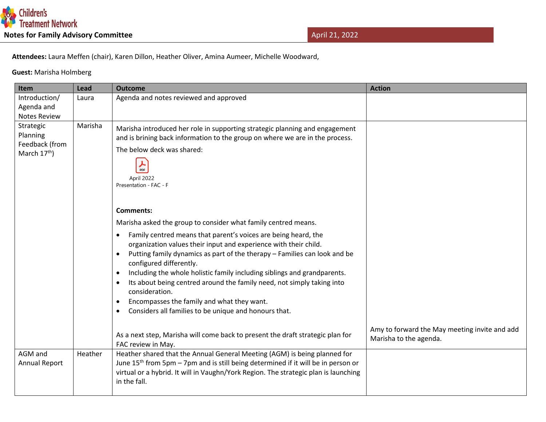

 **Attendees:** Laura Meffen (chair), Karen Dillon, Heather Oliver, Amina Aumeer, Michelle Woodward,

 **Guest:** Marisha Holmberg

| Item                                                      | Lead    | <b>Outcome</b>                                                                                                                                                                                                                                                                                                                                                                                                                                                                                                                                                                                                                                                                                                                                                                                                                                                                                                       | <b>Action</b>                                 |
|-----------------------------------------------------------|---------|----------------------------------------------------------------------------------------------------------------------------------------------------------------------------------------------------------------------------------------------------------------------------------------------------------------------------------------------------------------------------------------------------------------------------------------------------------------------------------------------------------------------------------------------------------------------------------------------------------------------------------------------------------------------------------------------------------------------------------------------------------------------------------------------------------------------------------------------------------------------------------------------------------------------|-----------------------------------------------|
| Introduction/<br>Agenda and<br><b>Notes Review</b>        | Laura   | Agenda and notes reviewed and approved                                                                                                                                                                                                                                                                                                                                                                                                                                                                                                                                                                                                                                                                                                                                                                                                                                                                               |                                               |
| Strategic<br>Planning<br>Feedback (from<br>March $17th$ ) | Marisha | Marisha introduced her role in supporting strategic planning and engagement<br>and is brining back information to the group on where we are in the process.<br>The below deck was shared:<br>PDF<br>April 2022<br>Presentation - FAC - F<br><b>Comments:</b><br>Marisha asked the group to consider what family centred means.<br>Family centred means that parent's voices are being heard, the<br>$\bullet$<br>organization values their input and experience with their child.<br>Putting family dynamics as part of the therapy - Families can look and be<br>configured differently.<br>Including the whole holistic family including siblings and grandparents.<br>٠<br>Its about being centred around the family need, not simply taking into<br>$\bullet$<br>consideration.<br>Encompasses the family and what they want.<br>$\bullet$<br>Considers all families to be unique and honours that.<br>$\bullet$ | Amy to forward the May meeting invite and add |
|                                                           |         | As a next step, Marisha will come back to present the draft strategic plan for<br>FAC review in May.                                                                                                                                                                                                                                                                                                                                                                                                                                                                                                                                                                                                                                                                                                                                                                                                                 | Marisha to the agenda.                        |
| AGM and<br>Annual Report                                  | Heather | Heather shared that the Annual General Meeting (AGM) is being planned for<br>June 15 <sup>th</sup> from 5pm - 7pm and is still being determined if it will be in person or<br>virtual or a hybrid. It will in Vaughn/York Region. The strategic plan is launching<br>in the fall.                                                                                                                                                                                                                                                                                                                                                                                                                                                                                                                                                                                                                                    |                                               |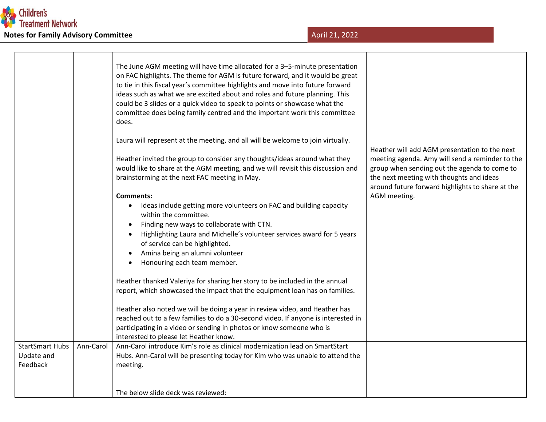

|                                                  |           | The June AGM meeting will have time allocated for a 3-5-minute presentation<br>on FAC highlights. The theme for AGM is future forward, and it would be great<br>to tie in this fiscal year's committee highlights and move into future forward<br>ideas such as what we are excited about and roles and future planning. This<br>could be 3 slides or a quick video to speak to points or showcase what the<br>committee does being family centred and the important work this committee<br>does. |                                                                                                                                                  |
|--------------------------------------------------|-----------|---------------------------------------------------------------------------------------------------------------------------------------------------------------------------------------------------------------------------------------------------------------------------------------------------------------------------------------------------------------------------------------------------------------------------------------------------------------------------------------------------|--------------------------------------------------------------------------------------------------------------------------------------------------|
|                                                  |           | Laura will represent at the meeting, and all will be welcome to join virtually.<br>Heather invited the group to consider any thoughts/ideas around what they<br>would like to share at the AGM meeting, and we will revisit this discussion and                                                                                                                                                                                                                                                   | Heather will add AGM presentation to the next<br>meeting agenda. Amy will send a reminder to the<br>group when sending out the agenda to come to |
|                                                  |           | brainstorming at the next FAC meeting in May.<br><b>Comments:</b><br>Ideas include getting more volunteers on FAC and building capacity<br>$\bullet$<br>within the committee.                                                                                                                                                                                                                                                                                                                     | the next meeting with thoughts and ideas<br>around future forward highlights to share at the<br>AGM meeting.                                     |
|                                                  |           | Finding new ways to collaborate with CTN.<br>Highlighting Laura and Michelle's volunteer services award for 5 years<br>of service can be highlighted.<br>Amina being an alumni volunteer<br>Honouring each team member.<br>$\bullet$                                                                                                                                                                                                                                                              |                                                                                                                                                  |
|                                                  |           | Heather thanked Valeriya for sharing her story to be included in the annual<br>report, which showcased the impact that the equipment loan has on families.                                                                                                                                                                                                                                                                                                                                        |                                                                                                                                                  |
|                                                  |           | Heather also noted we will be doing a year in review video, and Heather has<br>reached out to a few families to do a 30-second video. If anyone is interested in<br>participating in a video or sending in photos or know someone who is<br>interested to please let Heather know.                                                                                                                                                                                                                |                                                                                                                                                  |
| <b>StartSmart Hubs</b><br>Update and<br>Feedback | Ann-Carol | Ann-Carol introduce Kim's role as clinical modernization lead on SmartStart<br>Hubs. Ann-Carol will be presenting today for Kim who was unable to attend the<br>meeting.                                                                                                                                                                                                                                                                                                                          |                                                                                                                                                  |
|                                                  |           | The below slide deck was reviewed:                                                                                                                                                                                                                                                                                                                                                                                                                                                                |                                                                                                                                                  |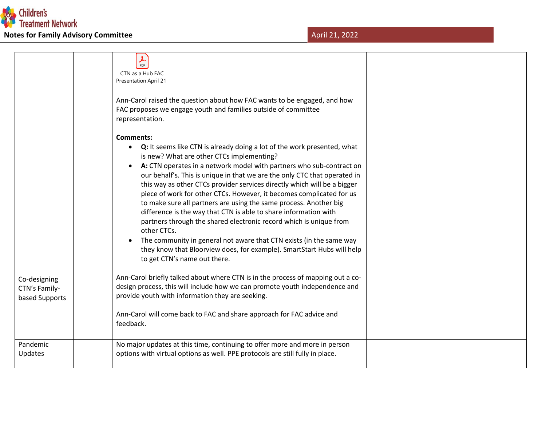

|                                                 | ⅄<br>PDF<br>CTN as a Hub FAC<br><b>Presentation April 21</b><br>Ann-Carol raised the question about how FAC wants to be engaged, and how<br>FAC proposes we engage youth and families outside of committee<br>representation.                                                                                                                                                                                                                                                                                                                                                                                                                                                                                                                                                                                                                                                                           |  |
|-------------------------------------------------|---------------------------------------------------------------------------------------------------------------------------------------------------------------------------------------------------------------------------------------------------------------------------------------------------------------------------------------------------------------------------------------------------------------------------------------------------------------------------------------------------------------------------------------------------------------------------------------------------------------------------------------------------------------------------------------------------------------------------------------------------------------------------------------------------------------------------------------------------------------------------------------------------------|--|
|                                                 | <b>Comments:</b><br>Q: It seems like CTN is already doing a lot of the work presented, what<br>$\bullet$<br>is new? What are other CTCs implementing?<br>A: CTN operates in a network model with partners who sub-contract on<br>$\bullet$<br>our behalf's. This is unique in that we are the only CTC that operated in<br>this way as other CTCs provider services directly which will be a bigger<br>piece of work for other CTCs. However, it becomes complicated for us<br>to make sure all partners are using the same process. Another big<br>difference is the way that CTN is able to share information with<br>partners through the shared electronic record which is unique from<br>other CTCs.<br>The community in general not aware that CTN exists (in the same way<br>$\bullet$<br>they know that Bloorview does, for example). SmartStart Hubs will help<br>to get CTN's name out there. |  |
| Co-designing<br>CTN's Family-<br>based Supports | Ann-Carol briefly talked about where CTN is in the process of mapping out a co-<br>design process, this will include how we can promote youth independence and<br>provide youth with information they are seeking.<br>Ann-Carol will come back to FAC and share approach for FAC advice and<br>feedback.                                                                                                                                                                                                                                                                                                                                                                                                                                                                                                                                                                                                |  |
| Pandemic<br>Updates                             | No major updates at this time, continuing to offer more and more in person<br>options with virtual options as well. PPE protocols are still fully in place.                                                                                                                                                                                                                                                                                                                                                                                                                                                                                                                                                                                                                                                                                                                                             |  |